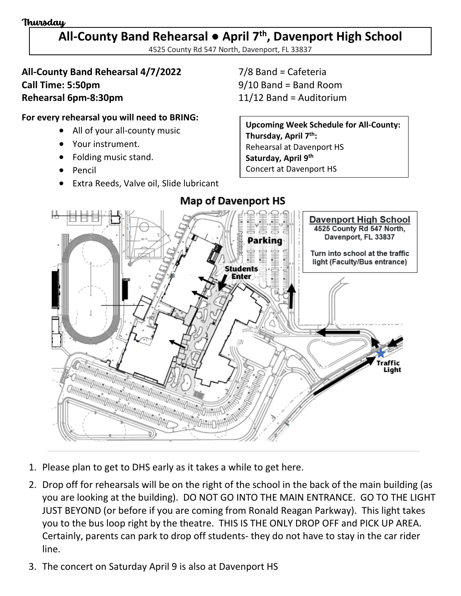#### Thursday

## **All-County Band Rehearsal ● April 7th , Davenport High School**

4525 County Rd 547 North, Davenport, FL 33837

### **All-County Band Rehearsal 4/7/2022** 7/8 Band = Cafeteria **Call Time: 5:50pm** 9/10 Band = Band Room **Rehearsal 6pm-8:30pm** 11/12 Band = Auditorium

#### **For every rehearsal you will need to BRING:**

- All of your all-county music
- Your instrument.
- Folding music stand.
- Pencil
- Extra Reeds, Valve oil, Slide lubricant

**Upcoming Week Schedule for All-County: Thursday, April 7th:** Rehearsal at Davenport HS **Saturday, April 9th** Concert at Davenport HS



**Map of Davenport HS** 

- 1. Please plan to get to DHS early as it takes a while to get here.
- 2. Drop off for rehearsals will be on the right of the school in the back of the main building (as you are looking at the building). DO NOT GO INTO THE MAIN ENTRANCE. GO TO THE LIGHT JUST BEYOND (or before if you are coming from Ronald Reagan Parkway). This light takes you to the bus loop right by the theatre. THIS IS THE ONLY DROP OFF and PICK UP AREA. Certainly, parents can park to drop off students- they do not have to stay in the car rider line.
- 3. The concert on Saturday April 9 is also at Davenport HS